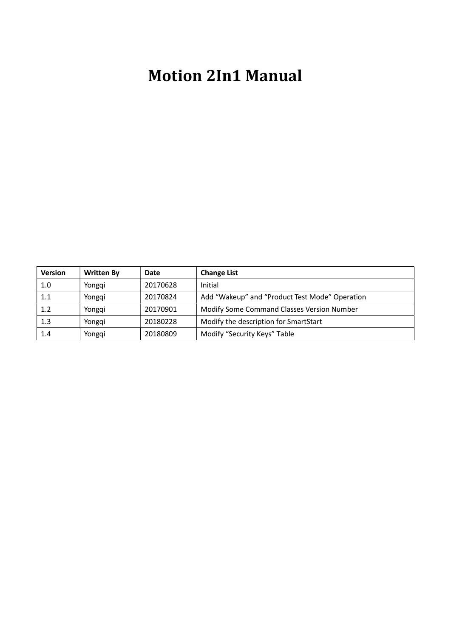# Motion 2In1 Manual

| <b>Version</b> | <b>Written By</b> | <b>Date</b> | <b>Change List</b>                             |
|----------------|-------------------|-------------|------------------------------------------------|
| 1.0            | Yongqi            | 20170628    | Initial                                        |
| 1.1            | Yongqi            | 20170824    | Add "Wakeup" and "Product Test Mode" Operation |
| 1.2            | Yongqi            | 20170901    | Modify Some Command Classes Version Number     |
| 1.3            | Yongqi            | 20180228    | Modify the description for SmartStart          |
| 1.4            | Yongqi            | 20180809    | Modify "Security Keys" Table                   |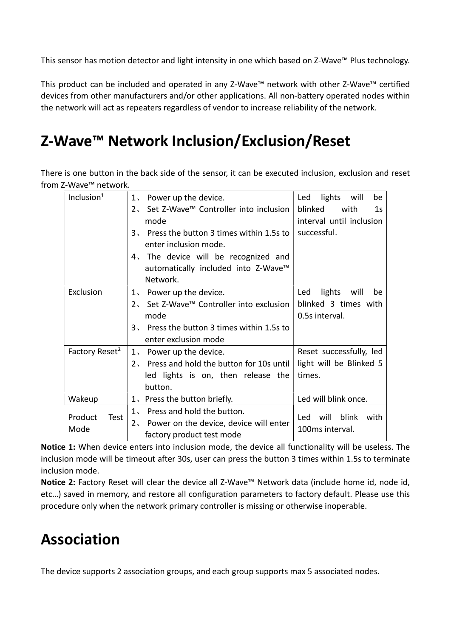This sensor has motion detector and light intensity in one which based on Z-Wave™ Plus technology.

This product can be included and operated in any Z-Wave™ network with other Z-Wave™ certified devices from other manufacturers and/or other applications. All non-battery operated nodes within the network will act as repeaters regardless of vendor to increase reliability of the network.

## Z-Wave™ Network Inclusion/Exclusion/Reset

There is one button in the back side of the sensor, it can be executed inclusion, exclusion and reset from Z-Wave™ network.

| Inclusion <sup>1</sup>     | 1. Power up the device.                     | lights<br>Led<br>will<br>be       |
|----------------------------|---------------------------------------------|-----------------------------------|
|                            | Set Z-Wave™ Controller into inclusion<br>2. | blinked<br>with<br>1 <sub>S</sub> |
|                            | mode                                        | interval until inclusion          |
|                            | 3、 Press the button 3 times within 1.5s to  | successful.                       |
|                            | enter inclusion mode.                       |                                   |
|                            | 4. The device will be recognized and        |                                   |
|                            | automatically included into Z-Wave™         |                                   |
|                            | Network.                                    |                                   |
| Exclusion                  | 1. Power up the device.                     | lights<br>will<br>Led<br>be       |
|                            | 2、 Set Z-Wave™ Controller into exclusion    | blinked 3 times with              |
|                            | mode                                        | 0.5s interval.                    |
|                            | 3. Press the button 3 times within 1.5s to  |                                   |
|                            | enter exclusion mode                        |                                   |
| Factory Reset <sup>2</sup> | 1. Power up the device.                     | Reset successfully, led           |
|                            | 2. Press and hold the button for 10s until  | light will be Blinked 5           |
|                            | led lights is on, then release the          | times.                            |
|                            | button.                                     |                                   |
| Wakeup                     | 1. Press the button briefly.                | Led will blink once.              |
| Product<br>Test            | Press and hold the button.<br>$1$ ,         | blink<br>will<br>Led<br>with      |
| Mode                       | 2. Power on the device, device will enter   | 100ms interval.                   |
|                            | factory product test mode                   |                                   |

Notice 1: When device enters into inclusion mode, the device all functionality will be useless. The inclusion mode will be timeout after 30s, user can press the button 3 times within 1.5s to terminate inclusion mode.

Notice 2: Factory Reset will clear the device all Z-Wave™ Network data (include home id, node id, etc…) saved in memory, and restore all configuration parameters to factory default. Please use this procedure only when the network primary controller is missing or otherwise inoperable.

## Association

The device supports 2 association groups, and each group supports max 5 associated nodes.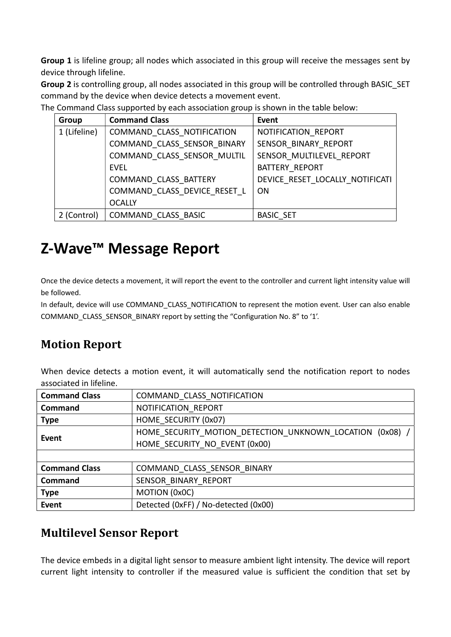Group 1 is lifeline group; all nodes which associated in this group will receive the messages sent by device through lifeline.

Group 2 is controlling group, all nodes associated in this group will be controlled through BASIC\_SET command by the device when device detects a movement event.

The Command Class supported by each association group is shown in the table below:

| Group        | <b>Command Class</b>         | <b>Event</b>                    |
|--------------|------------------------------|---------------------------------|
| 1 (Lifeline) | COMMAND CLASS NOTIFICATION   | NOTIFICATION REPORT             |
|              | COMMAND CLASS SENSOR BINARY  | SENSOR BINARY REPORT            |
|              | COMMAND CLASS SENSOR MULTIL  | SENSOR MULTILEVEL REPORT        |
|              | EVEL                         | <b>BATTERY REPORT</b>           |
|              | COMMAND CLASS BATTERY        | DEVICE RESET LOCALLY NOTIFICATI |
|              | COMMAND CLASS DEVICE RESET L | <b>ON</b>                       |
|              | <b>OCALLY</b>                |                                 |
| 2 (Control)  | COMMAND CLASS BASIC          | <b>BASIC SET</b>                |

## Z-Wave™ Message Report

Once the device detects a movement, it will report the event to the controller and current light intensity value will be followed.

In default, device will use COMMAND\_CLASS\_NOTIFICATION to represent the motion event. User can also enable COMMAND\_CLASS\_SENSOR\_BINARY report by setting the "Configuration No. 8" to '1'.

### Motion Report

When device detects a motion event, it will automatically send the notification report to nodes associated in lifeline.

| <b>Command Class</b>                   | COMMAND CLASS NOTIFICATION                             |  |  |
|----------------------------------------|--------------------------------------------------------|--|--|
| <b>Command</b>                         | NOTIFICATION REPORT                                    |  |  |
| <b>Type</b>                            | HOME SECURITY (0x07)                                   |  |  |
| Event                                  | HOME SECURITY MOTION DETECTION UNKNOWN LOCATION (0x08) |  |  |
|                                        | HOME SECURITY NO EVENT (0x00)                          |  |  |
|                                        |                                                        |  |  |
| <b>Command Class</b>                   | COMMAND CLASS SENSOR BINARY                            |  |  |
| SENSOR BINARY REPORT<br><b>Command</b> |                                                        |  |  |
| <b>Type</b>                            | MOTION (0x0C)                                          |  |  |
| <b>Event</b>                           | Detected (OxFF) / No-detected (OxOO)                   |  |  |

### Multilevel Sensor Report

The device embeds in a digital light sensor to measure ambient light intensity. The device will report current light intensity to controller if the measured value is sufficient the condition that set by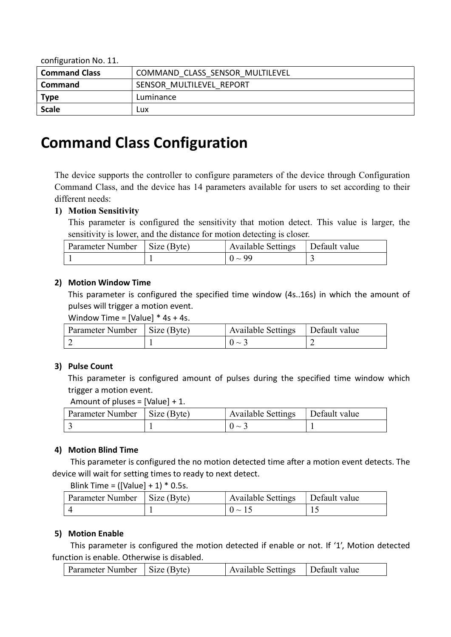| $\sim$ , and $\sim$ $\sim$ |                                 |
|----------------------------|---------------------------------|
| <b>Command Class</b>       | COMMAND CLASS SENSOR MULTILEVEL |
| <b>Command</b>             | SENSOR MULTILEVEL REPORT        |
| <b>Type</b>                | Luminance                       |
| <b>Scale</b>               | LUX.                            |

### Command Class Configuration

The device supports the controller to configure parameters of the device through Configuration Command Class, and the device has 14 parameters available for users to set according to their different needs:

#### 1) Motion Sensitivity

This parameter is configured the sensitivity that motion detect. This value is larger, the sensitivity is lower, and the distance for motion detecting is closer.

| Parameter Number   Size (Byte) | Available Settings | Default value |
|--------------------------------|--------------------|---------------|
|                                | $0 \sim 99$        |               |

#### 2) Motion Window Time

This parameter is configured the specified time window (4s..16s) in which the amount of pulses will trigger a motion event.

Window Time =  $[Value] * 4s + 4s$ .

| Parameter Number   Size (Byte) | Available Settings   Default value |  |
|--------------------------------|------------------------------------|--|
|                                | $\sim$                             |  |

#### 3) Pulse Count

This parameter is configured amount of pulses during the specified time window which trigger a motion event.

Amount of pluses = [Value] + 1.

| Parameter Number   Size (Byte) | <b>Available Settings</b> | Default value |
|--------------------------------|---------------------------|---------------|
|                                | $0 \sim$                  |               |

#### 4) Motion Blind Time

This parameter is configured the no motion detected time after a motion event detects. The device will wait for setting times to ready to next detect.

Blink Time = ([Value] +  $1$ )  $*$  0.5s.

| Parameter Number   Size (Byte) | Available Settings   Default value |  |
|--------------------------------|------------------------------------|--|
|                                | $(1) \sim 15$                      |  |

#### 5) Motion Enable

This parameter is configured the motion detected if enable or not. If '1', Motion detected function is enable. Otherwise is disabled.

| Parameter Number   Size (Byte)<br>Available Settings   Default value |
|----------------------------------------------------------------------|
|----------------------------------------------------------------------|

#### configuration No. 11.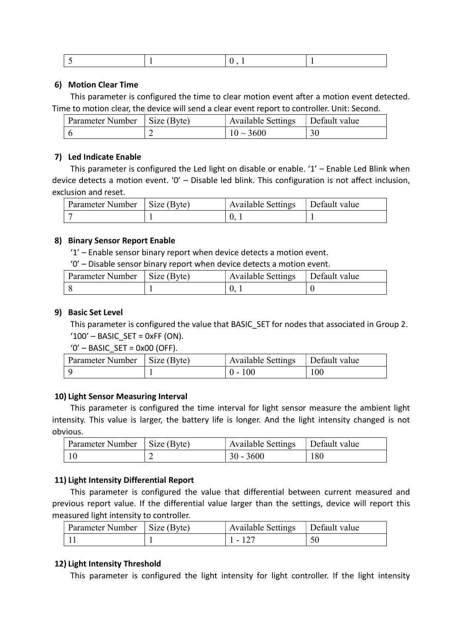#### 6) Motion Clear Time

This parameter is configured the time to clear motion event after a motion event detected. Time to motion clear, the device will send a clear event report to controller. Unit: Second.

| Parameter Number   Size (Byte) | Available Settings | Default value |
|--------------------------------|--------------------|---------------|
|                                | $10 \sim 3600$     | 30            |

#### 7) Led Indicate Enable

This parameter is configured the Led light on disable or enable. '1' – Enable Led Blink when device detects a motion event. '0' – Disable led blink. This configuration is not affect inclusion, exclusion and reset.

| Parameter Number   Size (Byte) | <b>Available Settings</b> | Default value |
|--------------------------------|---------------------------|---------------|
|                                |                           |               |

#### 8) Binary Sensor Report Enable

'1' – Enable sensor binary report when device detects a motion event.

'0' – Disable sensor binary report when device detects a motion event.

| Parameter Number   Size (Byte) | <b>Available Settings</b> | Default value |
|--------------------------------|---------------------------|---------------|
|                                |                           |               |

#### 9) Basic Set Level

This parameter is configured the value that BASIC SET for nodes that associated in Group 2.  $'100'$  – BASIC SET = 0xFF (ON).

' $0'$  – BASIC SET = 0x00 (OFF).

| Parameter Number   Size (Byte) | <b>Available Settings</b> | Default value |
|--------------------------------|---------------------------|---------------|
|                                | $0 - 100$                 | 100           |

#### 10) Light Sensor Measuring Interval

This parameter is configured the time interval for light sensor measure the ambient light intensity. This value is larger, the battery life is longer. And the light intensity changed is not obvious.

| Parameter Number   Size (Byte) | <b>Available Settings</b> | Default value |
|--------------------------------|---------------------------|---------------|
|                                | $30 - 3600$               | 180           |

#### 11) Light Intensity Differential Report

This parameter is configured the value that differential between current measured and previous report value. If the differential value larger than the settings, device will report this measured light intensity to controller.

| Parameter Number   Size (Byte) | Available Settings   Default value |  |
|--------------------------------|------------------------------------|--|
|                                | $1 - 127$                          |  |

#### 12) Light Intensity Threshold

This parameter is configured the light intensity for light controller. If the light intensity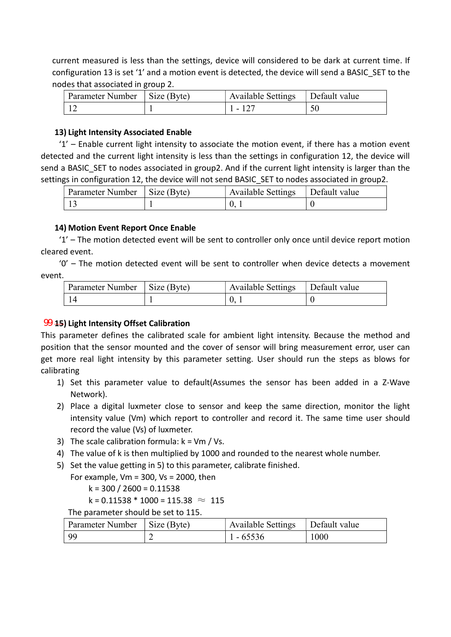current measured is less than the settings, device will considered to be dark at current time. If configuration 13 is set '1' and a motion event is detected, the device will send a BASIC\_SET to the nodes that associated in group 2.

| Parameter Number   Size (Byte) | <b>Available Settings</b> | Default value |
|--------------------------------|---------------------------|---------------|
|                                | . - 127                   |               |

#### 13) Light Intensity Associated Enable

 $1'$  – Enable current light intensity to associate the motion event, if there has a motion event detected and the current light intensity is less than the settings in configuration 12, the device will send a BASIC SET to nodes associated in group2. And if the current light intensity is larger than the settings in configuration 12, the device will not send BASIC SET to nodes associated in group2.

| Parameter Number   Size (Byte) | Available Settings   Default value |  |
|--------------------------------|------------------------------------|--|
|                                |                                    |  |

#### 14) Motion Event Report Once Enable

'1' – The motion detected event will be sent to controller only once until device report motion cleared event.

'0' – The motion detected event will be sent to controller when device detects a movement event.

| Parameter Number   Size (Byte) | <b>Available Settings</b> | Default value |
|--------------------------------|---------------------------|---------------|
|                                |                           |               |

#### $99$  45) Light Intensity Offset Calibration

This parameter defines the calibrated scale for ambient light intensity. Because the method and position that the sensor mounted and the cover of sensor will bring measurement error, user can get more real light intensity by this parameter setting. User should run the steps as blows for calibrating

- 1) Set this parameter value to default(Assumes the sensor has been added in a Z-Wave Network).
- 2) Place a digital luxmeter close to sensor and keep the same direction, monitor the light intensity value (Vm) which report to controller and record it. The same time user should record the value (Vs) of luxmeter.
- 3) The scale calibration formula:  $k = Vm / Vs$ .
- 4) The value of k is then multiplied by 1000 and rounded to the nearest whole number.
- 5) Set the value getting in 5) to this parameter, calibrate finished.

For example, Vm =  $300$ , Vs =  $2000$ , then

$$
k = 300 / 2600 = 0.11538
$$

 $k = 0.11538 * 1000 = 115.38 \approx 115$ 

The parameter should be set to 115.

| Parameter Number   Size (Byte) | Available Settings $\Box$ Default value |      |
|--------------------------------|-----------------------------------------|------|
| 99                             | $1 - 65536$                             | 1000 |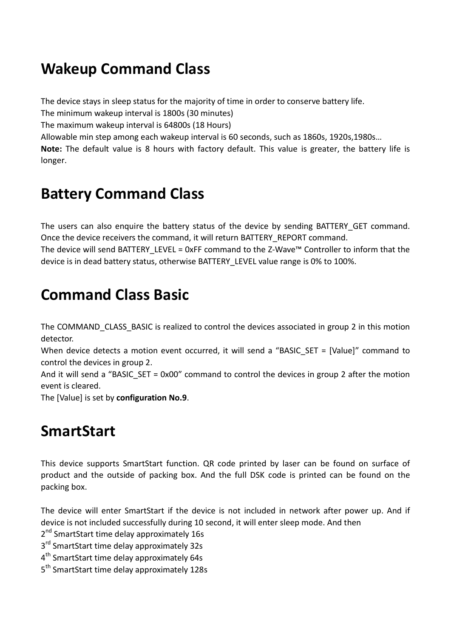## Wakeup Command Class

The device stays in sleep status for the majority of time in order to conserve battery life.

The minimum wakeup interval is 1800s (30 minutes)

The maximum wakeup interval is 64800s (18 Hours)

Allowable min step among each wakeup interval is 60 seconds, such as 1860s, 1920s,1980s…

Note: The default value is 8 hours with factory default. This value is greater, the battery life is longer.

## Battery Command Class

The users can also enquire the battery status of the device by sending BATTERY\_GET command. Once the device receivers the command, it will return BATTERY\_REPORT command.

The device will send BATTERY\_LEVEL = 0xFF command to the Z-Wave™ Controller to inform that the device is in dead battery status, otherwise BATTERY\_LEVEL value range is 0% to 100%.

## Command Class Basic

The COMMAND CLASS BASIC is realized to control the devices associated in group 2 in this motion detector.

When device detects a motion event occurred, it will send a "BASIC\_SET = [Value]" command to control the devices in group 2.

And it will send a "BASIC SET = 0x00" command to control the devices in group 2 after the motion event is cleared.

The [Value] is set by configuration No.9.

### **SmartStart**

This device supports SmartStart function. QR code printed by laser can be found on surface of product and the outside of packing box. And the full DSK code is printed can be found on the packing box.

The device will enter SmartStart if the device is not included in network after power up. And if device is not included successfully during 10 second, it will enter sleep mode. And then

2<sup>nd</sup> SmartStart time delay approximately 16s

3<sup>rd</sup> SmartStart time delay approximately 32s

4<sup>th</sup> SmartStart time delay approximately 64s

5<sup>th</sup> SmartStart time delay approximately 128s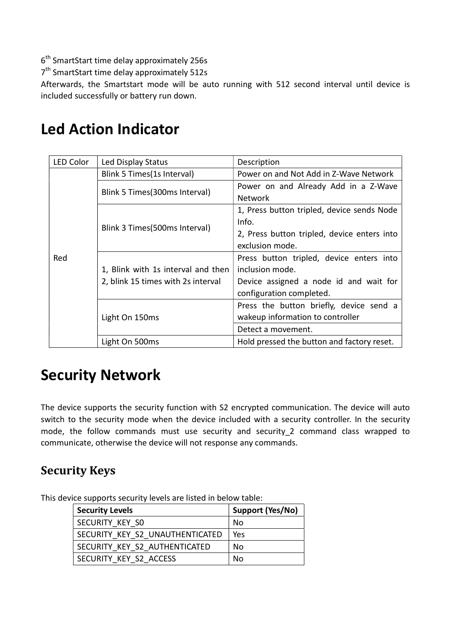6<sup>th</sup> SmartStart time delay approximately 256s

7<sup>th</sup> SmartStart time delay approximately 512s

Afterwards, the Smartstart mode will be auto running with 512 second interval until device is included successfully or battery run down.

| <b>LED Color</b> | Led Display Status                 | Description                                 |
|------------------|------------------------------------|---------------------------------------------|
|                  | Blink 5 Times (1s Interval)        | Power on and Not Add in Z-Wave Network      |
|                  |                                    | Power on and Already Add in a Z-Wave        |
|                  | Blink 5 Times (300ms Interval)     | <b>Network</b>                              |
|                  |                                    | 1, Press button tripled, device sends Node  |
|                  |                                    | Info.                                       |
|                  | Blink 3 Times (500ms Interval)     | 2, Press button tripled, device enters into |
|                  |                                    | exclusion mode.                             |
| Red              |                                    | Press button tripled, device enters into    |
|                  | 1, Blink with 1s interval and then | inclusion mode.                             |
|                  | 2, blink 15 times with 2s interval | Device assigned a node id and wait for      |
|                  |                                    | configuration completed.                    |
|                  |                                    | Press the button briefly, device send a     |
|                  | Light On 150ms                     | wakeup information to controller            |
|                  |                                    | Detect a movement.                          |
|                  | Light On 500ms                     | Hold pressed the button and factory reset.  |

### Led Action Indicator

### Security Network

The device supports the security function with S2 encrypted communication. The device will auto switch to the security mode when the device included with a security controller. In the security mode, the follow commands must use security and security\_2 command class wrapped to communicate, otherwise the device will not response any commands.

### Security Keys

This device supports security levels are listed in below table:

| <b>Security Levels</b>          | Support (Yes/No) |
|---------------------------------|------------------|
| SECURITY KEY SO                 | No               |
| SECURITY KEY S2 UNAUTHENTICATED | Yes              |
| SECURITY KEY S2 AUTHENTICATED   | No               |
| SECURITY KEY S2 ACCESS          | Nο               |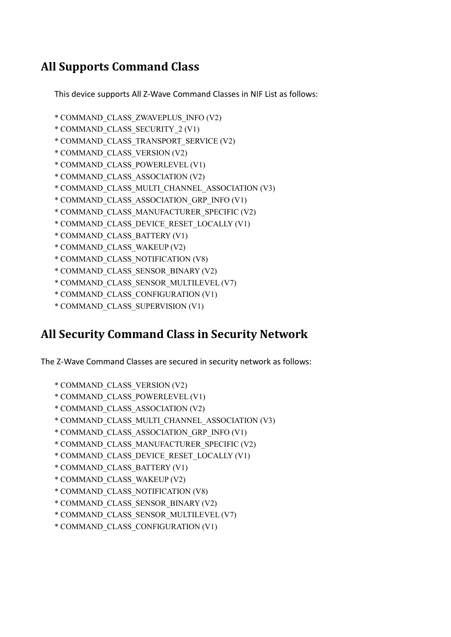### All Supports Command Class

This device supports All Z-Wave Command Classes in NIF List as follows:

- \* COMMAND\_CLASS\_ZWAVEPLUS\_INFO (V2)
- \* COMMAND\_CLASS\_SECURITY\_2 (V1)
- \* COMMAND\_CLASS\_TRANSPORT\_SERVICE (V2)
- \* COMMAND\_CLASS\_VERSION (V2)
- \* COMMAND\_CLASS\_POWERLEVEL (V1)
- \* COMMAND\_CLASS\_ASSOCIATION (V2)
- \* COMMAND\_CLASS\_MULTI\_CHANNEL\_ASSOCIATION (V3)
- \* COMMAND\_CLASS\_ASSOCIATION\_GRP\_INFO (V1)
- \* COMMAND\_CLASS\_MANUFACTURER\_SPECIFIC (V2)
- \* COMMAND\_CLASS\_DEVICE\_RESET\_LOCALLY (V1)
- \* COMMAND\_CLASS\_BATTERY (V1)
- \* COMMAND\_CLASS\_WAKEUP (V2)
- \* COMMAND\_CLASS\_NOTIFICATION (V8)
- \* COMMAND\_CLASS\_SENSOR\_BINARY (V2)
- \* COMMAND\_CLASS\_SENSOR\_MULTILEVEL (V7)
- \* COMMAND\_CLASS\_CONFIGURATION (V1)
- \* COMMAND\_CLASS\_SUPERVISION (V1)

### All Security Command Class in Security Network

The Z-Wave Command Classes are secured in security network as follows:

- \* COMMAND\_CLASS\_VERSION (V2)
- \* COMMAND\_CLASS\_POWERLEVEL (V1)
- \* COMMAND\_CLASS\_ASSOCIATION (V2)
- \* COMMAND\_CLASS\_MULTI\_CHANNEL\_ASSOCIATION (V3)
- \* COMMAND\_CLASS\_ASSOCIATION\_GRP\_INFO (V1)
- \* COMMAND\_CLASS\_MANUFACTURER\_SPECIFIC (V2)
- \* COMMAND\_CLASS\_DEVICE\_RESET\_LOCALLY (V1)
- \* COMMAND\_CLASS\_BATTERY (V1)
- \* COMMAND\_CLASS\_WAKEUP (V2)
- \* COMMAND\_CLASS\_NOTIFICATION (V8)
- \* COMMAND\_CLASS\_SENSOR\_BINARY (V2)
- \* COMMAND\_CLASS\_SENSOR\_MULTILEVEL (V7)
- \* COMMAND\_CLASS\_CONFIGURATION (V1)